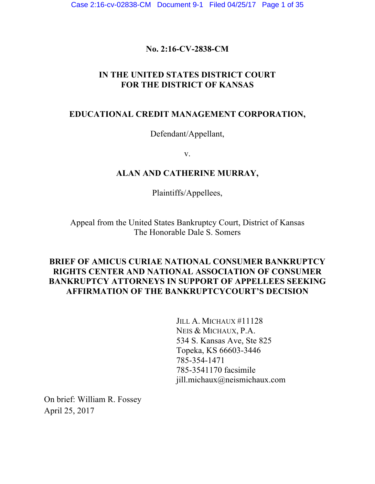## **No. 2:16-CV-2838-CM**

## **IN THE UNITED STATES DISTRICT COURT FOR THE DISTRICT OF KANSAS**

## **EDUCATIONAL CREDIT MANAGEMENT CORPORATION,**

Defendant/Appellant,

v.

## **ALAN AND CATHERINE MURRAY,**

Plaintiffs/Appellees,

Appeal from the United States Bankruptcy Court, District of Kansas The Honorable Dale S. Somers

## **BRIEF OF AMICUS CURIAE NATIONAL CONSUMER BANKRUPTCY RIGHTS CENTER AND NATIONAL ASSOCIATION OF CONSUMER BANKRUPTCY ATTORNEYS IN SUPPORT OF APPELLEES SEEKING AFFIRMATION OF THE BANKRUPTCYCOURT'S DECISION**

JILL A. MICHAUX #11128 NEIS & MICHAUX, P.A. 534 S. Kansas Ave, Ste 825 Topeka, KS 66603-3446 785-354-1471 785-3541170 facsimile jill.michaux@neismichaux.com

On brief: William R. Fossey April 25, 2017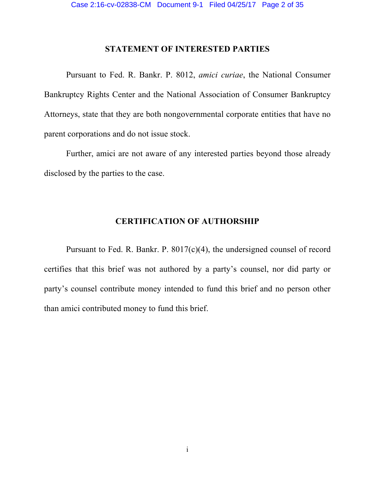### **STATEMENT OF INTERESTED PARTIES**

Pursuant to Fed. R. Bankr. P. 8012, *amici curiae*, the National Consumer Bankruptcy Rights Center and the National Association of Consumer Bankruptcy Attorneys, state that they are both nongovernmental corporate entities that have no parent corporations and do not issue stock.

Further, amici are not aware of any interested parties beyond those already disclosed by the parties to the case.

## **CERTIFICATION OF AUTHORSHIP**

Pursuant to Fed. R. Bankr. P. 8017(c)(4), the undersigned counsel of record certifies that this brief was not authored by a party's counsel, nor did party or party's counsel contribute money intended to fund this brief and no person other than amici contributed money to fund this brief.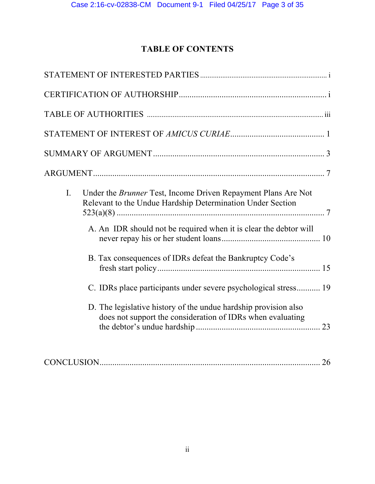# **TABLE OF CONTENTS**

| Under the Brunner Test, Income Driven Repayment Plans Are Not<br>I.<br>Relevant to the Undue Hardship Determination Under Section<br>A. An IDR should not be required when it is clear the debtor will<br>B. Tax consequences of IDRs defeat the Bankruptcy Code's |
|--------------------------------------------------------------------------------------------------------------------------------------------------------------------------------------------------------------------------------------------------------------------|
| C. IDRs place participants under severe psychological stress 19                                                                                                                                                                                                    |
| D. The legislative history of the undue hardship provision also<br>does not support the consideration of IDRs when evaluating                                                                                                                                      |
|                                                                                                                                                                                                                                                                    |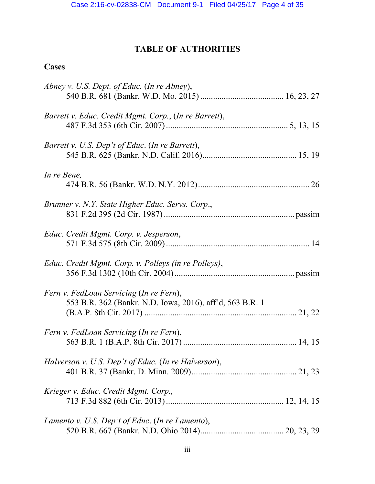# **TABLE OF AUTHORITIES**

# **Cases**

| Abney v. U.S. Dept. of Educ. (In re Abney),              |  |
|----------------------------------------------------------|--|
|                                                          |  |
| Barrett v. Educ. Credit Mgmt. Corp., (In re Barrett),    |  |
|                                                          |  |
| Barrett v. U.S. Dep't of Educ. (In re Barrett),          |  |
|                                                          |  |
| In re Bene,                                              |  |
|                                                          |  |
| Brunner v. N.Y. State Higher Educ. Servs. Corp.,         |  |
|                                                          |  |
|                                                          |  |
| Educ. Credit Mgmt. Corp. v. Jesperson,                   |  |
|                                                          |  |
| Educ. Credit Mgmt. Corp. v. Polleys (in re Polleys),     |  |
|                                                          |  |
| Fern v. FedLoan Servicing (In re Fern),                  |  |
| 553 B.R. 362 (Bankr. N.D. Iowa, 2016), aff'd, 563 B.R. 1 |  |
|                                                          |  |
| Fern v. FedLoan Servicing (In re Fern),                  |  |
|                                                          |  |
| Halverson v. U.S. Dep't of Educ. (In re Halverson),      |  |
|                                                          |  |
| Krieger v. Educ. Credit Mgmt. Corp.,                     |  |
|                                                          |  |
| Lamento v. U.S. Dep't of Educ. (In re Lamento),          |  |
|                                                          |  |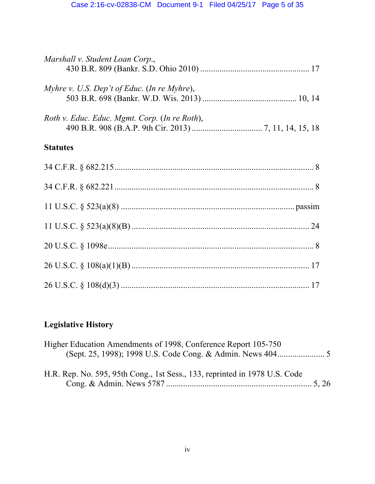| Marshall v. Student Loan Corp.,               |  |
|-----------------------------------------------|--|
| Myhre v. U.S. Dep't of Educ. (In re Myhre),   |  |
| Roth v. Educ. Educ. Mgmt. Corp. (In re Roth), |  |
| <b>Statutes</b>                               |  |
|                                               |  |
|                                               |  |
|                                               |  |

11 U.S.C. § 523(a)(8)(B)................................................................................... 24

20 U.S.C. § 1098e................................................................................................ 8

26 U.S.C. § 108(a)(1)(B) ................................................................................... 17

26 U.S.C. § 108(d)(3) ........................................................................................ 17

# **Legislative History**

| Higher Education Amendments of 1998, Conference Report 105-750             |  |
|----------------------------------------------------------------------------|--|
|                                                                            |  |
| H.R. Rep. No. 595, 95th Cong., 1st Sess., 133, reprinted in 1978 U.S. Code |  |
|                                                                            |  |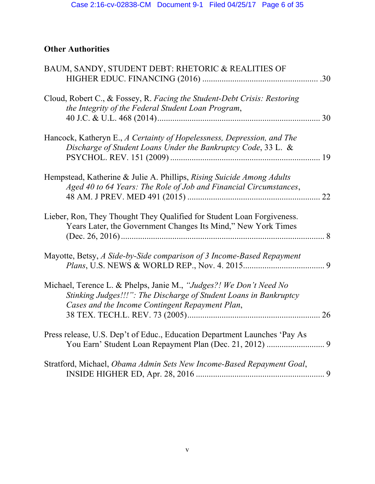# **Other Authorities**

| BAUM, SANDY, STUDENT DEBT: RHETORIC & REALITIES OF                                                                                                                                         |    |
|--------------------------------------------------------------------------------------------------------------------------------------------------------------------------------------------|----|
| Cloud, Robert C., & Fossey, R. Facing the Student-Debt Crisis: Restoring<br>the Integrity of the Federal Student Loan Program,                                                             | 30 |
| Hancock, Katheryn E., A Certainty of Hopelessness, Depression, and The<br>Discharge of Student Loans Under the Bankruptcy Code, 33 L. &                                                    |    |
| Hempstead, Katherine & Julie A. Phillips, Rising Suicide Among Adults<br>Aged 40 to 64 Years: The Role of Job and Financial Circumstances,                                                 | 22 |
| Lieber, Ron, They Thought They Qualified for Student Loan Forgiveness.<br>Years Later, the Government Changes Its Mind," New York Times                                                    | .8 |
| Mayotte, Betsy, A Side-by-Side comparison of 3 Income-Based Repayment                                                                                                                      |    |
| Michael, Terence L. & Phelps, Janie M., "Judges?! We Don't Need No<br>Stinking Judges!!!": The Discharge of Student Loans in Bankruptcy<br>Cases and the Income Contingent Repayment Plan, |    |
| Press release, U.S. Dep't of Educ., Education Department Launches 'Pay As                                                                                                                  |    |
| Stratford, Michael, Obama Admin Sets New Income-Based Repayment Goal,                                                                                                                      |    |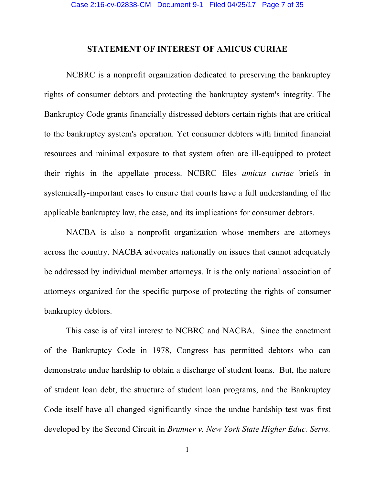### **STATEMENT OF INTEREST OF AMICUS CURIAE**

NCBRC is a nonprofit organization dedicated to preserving the bankruptcy rights of consumer debtors and protecting the bankruptcy system's integrity. The Bankruptcy Code grants financially distressed debtors certain rights that are critical to the bankruptcy system's operation. Yet consumer debtors with limited financial resources and minimal exposure to that system often are ill-equipped to protect their rights in the appellate process. NCBRC files *amicus curiae* briefs in systemically-important cases to ensure that courts have a full understanding of the applicable bankruptcy law, the case, and its implications for consumer debtors.

NACBA is also a nonprofit organization whose members are attorneys across the country. NACBA advocates nationally on issues that cannot adequately be addressed by individual member attorneys. It is the only national association of attorneys organized for the specific purpose of protecting the rights of consumer bankruptcy debtors.

This case is of vital interest to NCBRC and NACBA. Since the enactment of the Bankruptcy Code in 1978, Congress has permitted debtors who can demonstrate undue hardship to obtain a discharge of student loans. But, the nature of student loan debt, the structure of student loan programs, and the Bankruptcy Code itself have all changed significantly since the undue hardship test was first developed by the Second Circuit in *Brunner v. New York State Higher Educ. Servs.*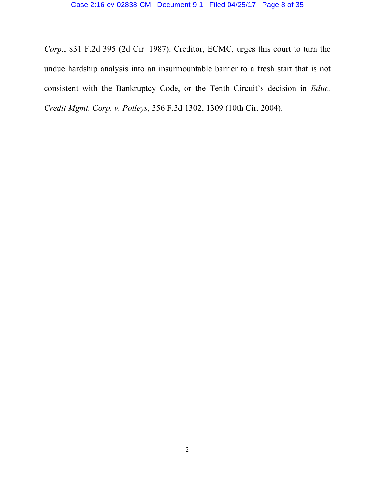*Corp.*, 831 F.2d 395 (2d Cir. 1987). Creditor, ECMC, urges this court to turn the undue hardship analysis into an insurmountable barrier to a fresh start that is not consistent with the Bankruptcy Code, or the Tenth Circuit's decision in *Educ. Credit Mgmt. Corp. v. Polleys*, 356 F.3d 1302, 1309 (10th Cir. 2004).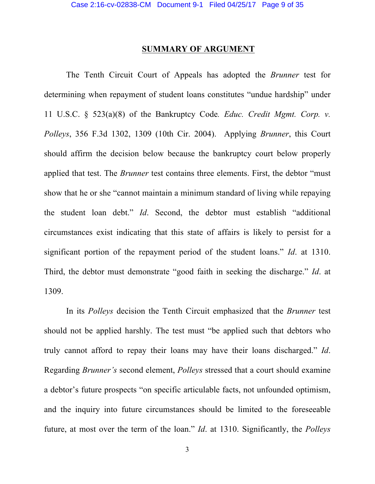### **SUMMARY OF ARGUMENT**

The Tenth Circuit Court of Appeals has adopted the *Brunner* test for determining when repayment of student loans constitutes "undue hardship" under 11 U.S.C. § 523(a)(8) of the Bankruptcy Code*. Educ. Credit Mgmt. Corp. v. Polleys*, 356 F.3d 1302, 1309 (10th Cir. 2004). Applying *Brunner*, this Court should affirm the decision below because the bankruptcy court below properly applied that test. The *Brunner* test contains three elements. First, the debtor "must show that he or she "cannot maintain a minimum standard of living while repaying the student loan debt." *Id*. Second, the debtor must establish "additional circumstances exist indicating that this state of affairs is likely to persist for a significant portion of the repayment period of the student loans." *Id*. at 1310. Third, the debtor must demonstrate "good faith in seeking the discharge." *Id*. at 1309.

In its *Polleys* decision the Tenth Circuit emphasized that the *Brunner* test should not be applied harshly. The test must "be applied such that debtors who truly cannot afford to repay their loans may have their loans discharged." *Id*. Regarding *Brunner's* second element, *Polleys* stressed that a court should examine a debtor's future prospects "on specific articulable facts, not unfounded optimism, and the inquiry into future circumstances should be limited to the foreseeable future, at most over the term of the loan." *Id*. at 1310. Significantly, the *Polleys*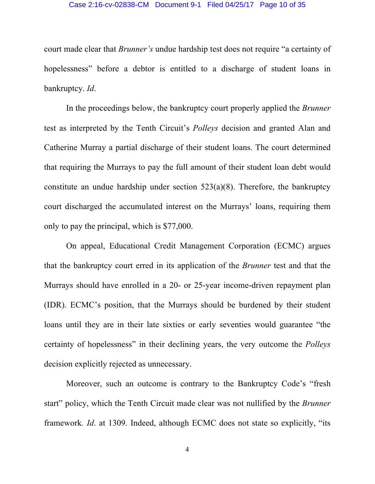#### Case 2:16-cv-02838-CM Document 9-1 Filed 04/25/17 Page 10 of 35

court made clear that *Brunner's* undue hardship test does not require "a certainty of hopelessness" before a debtor is entitled to a discharge of student loans in bankruptcy. *Id*.

In the proceedings below, the bankruptcy court properly applied the *Brunner* test as interpreted by the Tenth Circuit's *Polleys* decision and granted Alan and Catherine Murray a partial discharge of their student loans. The court determined that requiring the Murrays to pay the full amount of their student loan debt would constitute an undue hardship under section  $523(a)(8)$ . Therefore, the bankruptcy court discharged the accumulated interest on the Murrays' loans, requiring them only to pay the principal, which is \$77,000.

On appeal, Educational Credit Management Corporation (ECMC) argues that the bankruptcy court erred in its application of the *Brunner* test and that the Murrays should have enrolled in a 20- or 25-year income-driven repayment plan (IDR). ECMC's position, that the Murrays should be burdened by their student loans until they are in their late sixties or early seventies would guarantee "the certainty of hopelessness" in their declining years, the very outcome the *Polleys* decision explicitly rejected as unnecessary.

Moreover, such an outcome is contrary to the Bankruptcy Code's "fresh start" policy, which the Tenth Circuit made clear was not nullified by the *Brunner* framework*. Id*. at 1309. Indeed, although ECMC does not state so explicitly, "its

4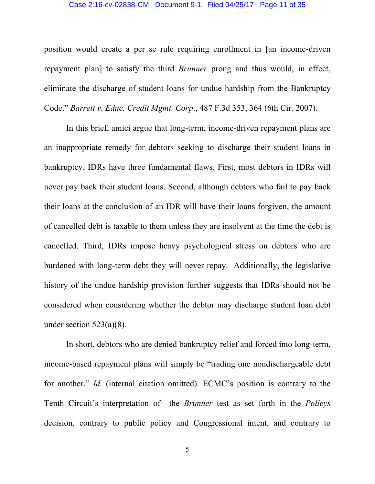#### Case 2:16-cv-02838-CM Document 9-1 Filed 04/25/17 Page 11 of 35

position would create a per se rule requiring enrollment in [an income-driven repayment plan] to satisfy the third *Brunner* prong and thus would, in effect, eliminate the discharge of student loans for undue hardship from the Bankruptcy Code." *Barrett v. Educ. Credit Mgmt. Corp*., 487 F.3d 353, 364 (6th Cir. 2007).

In this brief, amici argue that long-term, income-driven repayment plans are an inappropriate remedy for debtors seeking to discharge their student loans in bankruptcy. IDRs have three fundamental flaws. First, most debtors in IDRs will never pay back their student loans. Second, although debtors who fail to pay back their loans at the conclusion of an IDR will have their loans forgiven, the amount of cancelled debt is taxable to them unless they are insolvent at the time the debt is cancelled. Third, IDRs impose heavy psychological stress on debtors who are burdened with long-term debt they will never repay. Additionally, the legislative history of the undue hardship provision further suggests that IDRs should not be considered when considering whether the debtor may discharge student loan debt under section  $523(a)(8)$ .

In short, debtors who are denied bankruptcy relief and forced into long-term, income-based repayment plans will simply be "trading one nondischargeable debt for another." *Id.* (internal citation omitted). ECMC's position is contrary to the Tenth Circuit's interpretation of the *Brunner* test as set forth in the *Polleys* decision, contrary to public policy and Congressional intent, and contrary to

5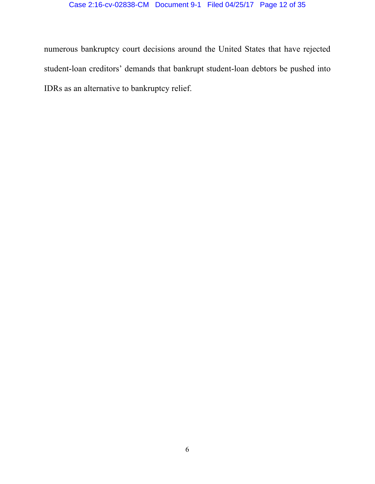## Case 2:16-cv-02838-CM Document 9-1 Filed 04/25/17 Page 12 of 35

numerous bankruptcy court decisions around the United States that have rejected student-loan creditors' demands that bankrupt student-loan debtors be pushed into IDRs as an alternative to bankruptcy relief.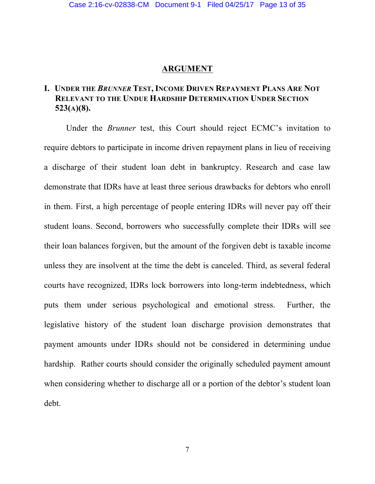### **ARGUMENT**

## **I. UNDER THE** *BRUNNER* **TEST, INCOME DRIVEN REPAYMENT PLANS ARE NOT RELEVANT TO THE UNDUE HARDSHIP DETERMINATION UNDER SECTION 523(A)(8).**

Under the *Brunner* test, this Court should reject ECMC's invitation to require debtors to participate in income driven repayment plans in lieu of receiving a discharge of their student loan debt in bankruptcy. Research and case law demonstrate that IDRs have at least three serious drawbacks for debtors who enroll in them. First, a high percentage of people entering IDRs will never pay off their student loans. Second, borrowers who successfully complete their IDRs will see their loan balances forgiven, but the amount of the forgiven debt is taxable income unless they are insolvent at the time the debt is canceled. Third, as several federal courts have recognized, IDRs lock borrowers into long-term indebtedness, which puts them under serious psychological and emotional stress. Further, the legislative history of the student loan discharge provision demonstrates that payment amounts under IDRs should not be considered in determining undue hardship. Rather courts should consider the originally scheduled payment amount when considering whether to discharge all or a portion of the debtor's student loan debt.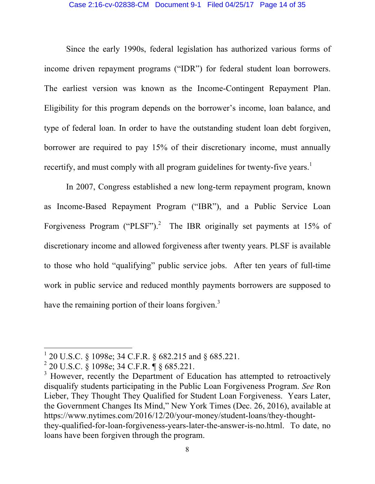#### Case 2:16-cv-02838-CM Document 9-1 Filed 04/25/17 Page 14 of 35

Since the early 1990s, federal legislation has authorized various forms of income driven repayment programs ("IDR") for federal student loan borrowers. The earliest version was known as the Income-Contingent Repayment Plan. Eligibility for this program depends on the borrower's income, loan balance, and type of federal loan. In order to have the outstanding student loan debt forgiven, borrower are required to pay 15% of their discretionary income, must annually recertify, and must comply with all program guidelines for twenty-five years.<sup>1</sup>

In 2007, Congress established a new long-term repayment program, known as Income-Based Repayment Program ("IBR"), and a Public Service Loan Forgiveness Program ("PLSF").<sup>2</sup> The IBR originally set payments at 15% of discretionary income and allowed forgiveness after twenty years. PLSF is available to those who hold "qualifying" public service jobs. After ten years of full-time work in public service and reduced monthly payments borrowers are supposed to have the remaining portion of their loans forgiven.<sup>3</sup>

 <sup>1</sup> 20 U.S.C. § 1098e; 34 C.F.R. § 682.215 and § 685.221.

 $^{2}$  20 U.S.C. § 1098e; 34 C.F.R. ¶ § 685.221.

<sup>&</sup>lt;sup>3</sup> However, recently the Department of Education has attempted to retroactively disqualify students participating in the Public Loan Forgiveness Program. *See* Ron Lieber, They Thought They Qualified for Student Loan Forgiveness. Years Later, the Government Changes Its Mind," New York Times (Dec. 26, 2016), available at https://www.nytimes.com/2016/12/20/your-money/student-loans/they-thoughtthey-qualified-for-loan-forgiveness-years-later-the-answer-is-no.html. To date, no loans have been forgiven through the program.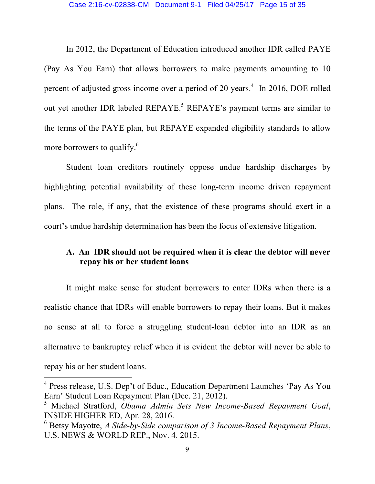#### Case 2:16-cv-02838-CM Document 9-1 Filed 04/25/17 Page 15 of 35

In 2012, the Department of Education introduced another IDR called PAYE (Pay As You Earn) that allows borrowers to make payments amounting to 10 percent of adjusted gross income over a period of 20 years.<sup>4</sup> In 2016, DOE rolled out yet another IDR labeled REPAYE.<sup>5</sup> REPAYE's payment terms are similar to the terms of the PAYE plan, but REPAYE expanded eligibility standards to allow more borrowers to qualify.<sup>6</sup>

Student loan creditors routinely oppose undue hardship discharges by highlighting potential availability of these long-term income driven repayment plans. The role, if any, that the existence of these programs should exert in a court's undue hardship determination has been the focus of extensive litigation.

## **A. An IDR should not be required when it is clear the debtor will never repay his or her student loans**

It might make sense for student borrowers to enter IDRs when there is a realistic chance that IDRs will enable borrowers to repay their loans. But it makes no sense at all to force a struggling student-loan debtor into an IDR as an alternative to bankruptcy relief when it is evident the debtor will never be able to repay his or her student loans.

<sup>&</sup>lt;sup>4</sup> Press release, U.S. Dep't of Educ., Education Department Launches 'Pay As You Earn' Student Loan Repayment Plan (Dec. 21, 2012).

<sup>5</sup> Michael Stratford, *Obama Admin Sets New Income-Based Repayment Goal*, INSIDE HIGHER ED, Apr. 28, 2016.

<sup>6</sup> Betsy Mayotte, *A Side-by-Side comparison of 3 Income-Based Repayment Plans*, U.S. NEWS & WORLD REP., Nov. 4. 2015.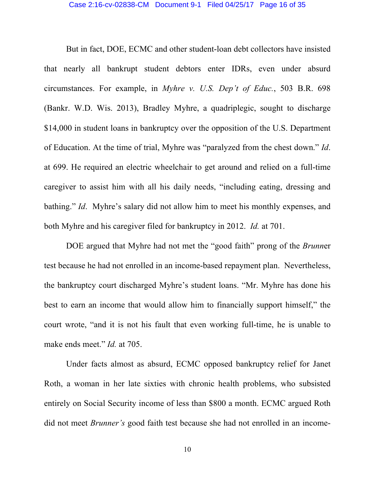But in fact, DOE, ECMC and other student-loan debt collectors have insisted that nearly all bankrupt student debtors enter IDRs, even under absurd circumstances. For example, in *Myhre v. U.S. Dep't of Educ.*, 503 B.R. 698 (Bankr. W.D. Wis. 2013), Bradley Myhre, a quadriplegic, sought to discharge \$14,000 in student loans in bankruptcy over the opposition of the U.S. Department of Education. At the time of trial, Myhre was "paralyzed from the chest down." *Id*. at 699. He required an electric wheelchair to get around and relied on a full-time caregiver to assist him with all his daily needs, "including eating, dressing and bathing." *Id*. Myhre's salary did not allow him to meet his monthly expenses, and both Myhre and his caregiver filed for bankruptcy in 2012. *Id.* at 701.

DOE argued that Myhre had not met the "good faith" prong of the *Brunn*er test because he had not enrolled in an income-based repayment plan. Nevertheless, the bankruptcy court discharged Myhre's student loans. "Mr. Myhre has done his best to earn an income that would allow him to financially support himself," the court wrote, "and it is not his fault that even working full-time, he is unable to make ends meet." *Id.* at 705.

Under facts almost as absurd, ECMC opposed bankruptcy relief for Janet Roth, a woman in her late sixties with chronic health problems, who subsisted entirely on Social Security income of less than \$800 a month. ECMC argued Roth did not meet *Brunner's* good faith test because she had not enrolled in an income-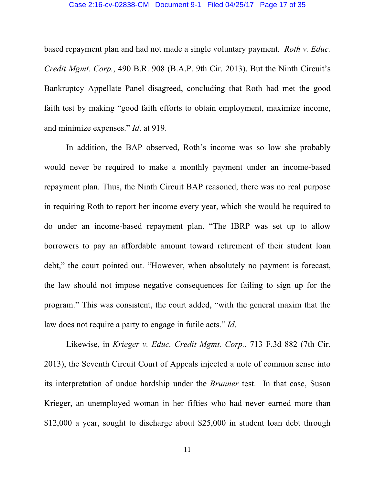#### Case 2:16-cv-02838-CM Document 9-1 Filed 04/25/17 Page 17 of 35

based repayment plan and had not made a single voluntary payment. *Roth v. Educ. Credit Mgmt. Corp.*, 490 B.R. 908 (B.A.P. 9th Cir. 2013). But the Ninth Circuit's Bankruptcy Appellate Panel disagreed, concluding that Roth had met the good faith test by making "good faith efforts to obtain employment, maximize income, and minimize expenses." *Id*. at 919.

In addition, the BAP observed, Roth's income was so low she probably would never be required to make a monthly payment under an income-based repayment plan. Thus, the Ninth Circuit BAP reasoned, there was no real purpose in requiring Roth to report her income every year, which she would be required to do under an income-based repayment plan. "The IBRP was set up to allow borrowers to pay an affordable amount toward retirement of their student loan debt," the court pointed out. "However, when absolutely no payment is forecast, the law should not impose negative consequences for failing to sign up for the program." This was consistent, the court added, "with the general maxim that the law does not require a party to engage in futile acts." *Id*.

Likewise, in *Krieger v. Educ. Credit Mgmt. Corp.*, 713 F.3d 882 (7th Cir. 2013), the Seventh Circuit Court of Appeals injected a note of common sense into its interpretation of undue hardship under the *Brunner* test. In that case, Susan Krieger, an unemployed woman in her fifties who had never earned more than \$12,000 a year, sought to discharge about \$25,000 in student loan debt through

11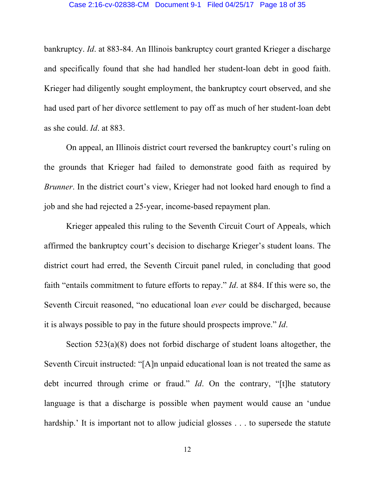bankruptcy. *Id*. at 883-84. An Illinois bankruptcy court granted Krieger a discharge and specifically found that she had handled her student-loan debt in good faith. Krieger had diligently sought employment, the bankruptcy court observed, and she had used part of her divorce settlement to pay off as much of her student-loan debt as she could. *Id*. at 883.

On appeal, an Illinois district court reversed the bankruptcy court's ruling on the grounds that Krieger had failed to demonstrate good faith as required by *Brunner*. In the district court's view, Krieger had not looked hard enough to find a job and she had rejected a 25-year, income-based repayment plan.

Krieger appealed this ruling to the Seventh Circuit Court of Appeals, which affirmed the bankruptcy court's decision to discharge Krieger's student loans. The district court had erred, the Seventh Circuit panel ruled, in concluding that good faith "entails commitment to future efforts to repay." *Id*. at 884. If this were so, the Seventh Circuit reasoned, "no educational loan *ever* could be discharged, because it is always possible to pay in the future should prospects improve." *Id*.

Section 523(a)(8) does not forbid discharge of student loans altogether, the Seventh Circuit instructed: "[A]n unpaid educational loan is not treated the same as debt incurred through crime or fraud." *Id*. On the contrary, "[t]he statutory language is that a discharge is possible when payment would cause an 'undue hardship.' It is important not to allow judicial glosses . . . to supersede the statute

12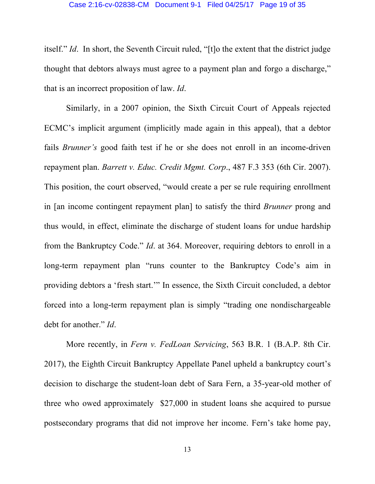itself." *Id*. In short, the Seventh Circuit ruled, "[t]o the extent that the district judge thought that debtors always must agree to a payment plan and forgo a discharge," that is an incorrect proposition of law. *Id*.

Similarly, in a 2007 opinion, the Sixth Circuit Court of Appeals rejected ECMC's implicit argument (implicitly made again in this appeal), that a debtor fails *Brunner's* good faith test if he or she does not enroll in an income-driven repayment plan. *Barrett v. Educ. Credit Mgmt. Corp*., 487 F.3 353 (6th Cir. 2007). This position, the court observed, "would create a per se rule requiring enrollment in [an income contingent repayment plan] to satisfy the third *Brunner* prong and thus would, in effect, eliminate the discharge of student loans for undue hardship from the Bankruptcy Code." *Id*. at 364. Moreover, requiring debtors to enroll in a long-term repayment plan "runs counter to the Bankruptcy Code's aim in providing debtors a 'fresh start.'" In essence, the Sixth Circuit concluded, a debtor forced into a long-term repayment plan is simply "trading one nondischargeable debt for another." *Id*.

More recently, in *Fern v. FedLoan Servicing*, 563 B.R. 1 (B.A.P. 8th Cir. 2017), the Eighth Circuit Bankruptcy Appellate Panel upheld a bankruptcy court's decision to discharge the student-loan debt of Sara Fern, a 35-year-old mother of three who owed approximately \$27,000 in student loans she acquired to pursue postsecondary programs that did not improve her income. Fern's take home pay,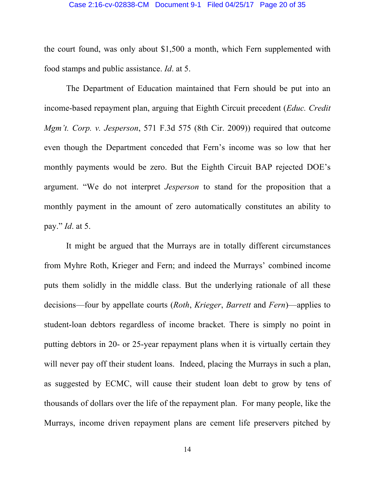### Case 2:16-cv-02838-CM Document 9-1 Filed 04/25/17 Page 20 of 35

the court found, was only about \$1,500 a month, which Fern supplemented with food stamps and public assistance. *Id*. at 5.

The Department of Education maintained that Fern should be put into an income-based repayment plan, arguing that Eighth Circuit precedent (*Educ. Credit Mgm't. Corp. v. Jesperson*, 571 F.3d 575 (8th Cir. 2009)) required that outcome even though the Department conceded that Fern's income was so low that her monthly payments would be zero. But the Eighth Circuit BAP rejected DOE's argument. "We do not interpret *Jesperson* to stand for the proposition that a monthly payment in the amount of zero automatically constitutes an ability to pay." *Id*. at 5.

It might be argued that the Murrays are in totally different circumstances from Myhre Roth, Krieger and Fern; and indeed the Murrays' combined income puts them solidly in the middle class. But the underlying rationale of all these decisions—four by appellate courts (*Roth*, *Krieger*, *Barrett* and *Fern*)—applies to student-loan debtors regardless of income bracket. There is simply no point in putting debtors in 20- or 25-year repayment plans when it is virtually certain they will never pay off their student loans. Indeed, placing the Murrays in such a plan, as suggested by ECMC, will cause their student loan debt to grow by tens of thousands of dollars over the life of the repayment plan. For many people, like the Murrays, income driven repayment plans are cement life preservers pitched by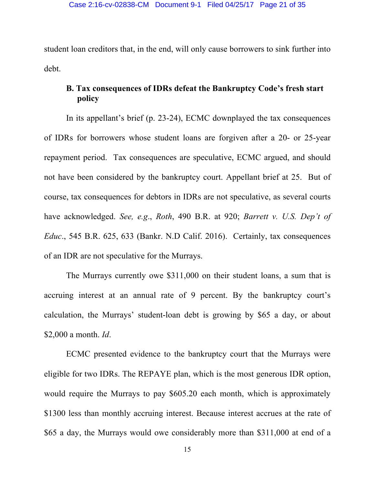student loan creditors that, in the end, will only cause borrowers to sink further into debt.

## **B. Tax consequences of IDRs defeat the Bankruptcy Code's fresh start policy**

In its appellant's brief (p. 23-24), ECMC downplayed the tax consequences of IDRs for borrowers whose student loans are forgiven after a 20- or 25-year repayment period. Tax consequences are speculative, ECMC argued, and should not have been considered by the bankruptcy court. Appellant brief at 25. But of course, tax consequences for debtors in IDRs are not speculative, as several courts have acknowledged. *See, e.g*., *Roth*, 490 B.R. at 920; *Barrett v. U.S. Dep't of Educ*., 545 B.R. 625, 633 (Bankr. N.D Calif. 2016). Certainly, tax consequences of an IDR are not speculative for the Murrays.

The Murrays currently owe \$311,000 on their student loans, a sum that is accruing interest at an annual rate of 9 percent. By the bankruptcy court's calculation, the Murrays' student-loan debt is growing by \$65 a day, or about \$2,000 a month. *Id*.

ECMC presented evidence to the bankruptcy court that the Murrays were eligible for two IDRs. The REPAYE plan, which is the most generous IDR option, would require the Murrays to pay \$605.20 each month, which is approximately \$1300 less than monthly accruing interest. Because interest accrues at the rate of \$65 a day, the Murrays would owe considerably more than \$311,000 at end of a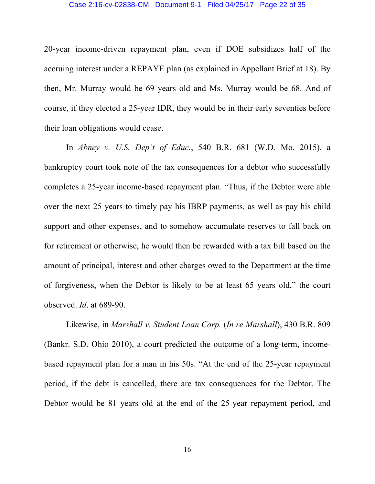#### Case 2:16-cv-02838-CM Document 9-1 Filed 04/25/17 Page 22 of 35

20-year income-driven repayment plan, even if DOE subsidizes half of the accruing interest under a REPAYE plan (as explained in Appellant Brief at 18). By then, Mr. Murray would be 69 years old and Ms. Murray would be 68. And of course, if they elected a 25-year IDR, they would be in their early seventies before their loan obligations would cease.

In *Abney v. U.S. Dep't of Educ.*, 540 B.R. 681 (W.D. Mo. 2015), a bankruptcy court took note of the tax consequences for a debtor who successfully completes a 25-year income-based repayment plan. "Thus, if the Debtor were able over the next 25 years to timely pay his IBRP payments, as well as pay his child support and other expenses, and to somehow accumulate reserves to fall back on for retirement or otherwise, he would then be rewarded with a tax bill based on the amount of principal, interest and other charges owed to the Department at the time of forgiveness, when the Debtor is likely to be at least 65 years old," the court observed. *Id*. at 689-90.

Likewise, in *Marshall v. Student Loan Corp.* (*In re Marshall*), 430 B.R. 809 (Bankr. S.D. Ohio 2010), a court predicted the outcome of a long-term, incomebased repayment plan for a man in his 50s. "At the end of the 25-year repayment period, if the debt is cancelled, there are tax consequences for the Debtor. The Debtor would be 81 years old at the end of the 25-year repayment period, and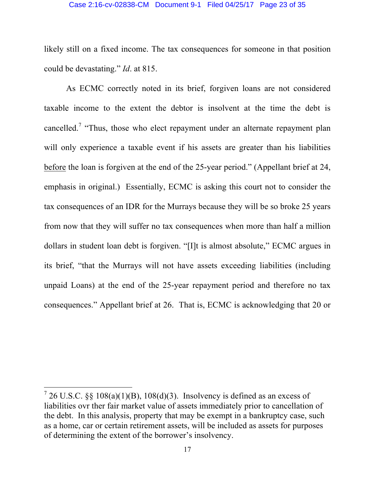#### Case 2:16-cv-02838-CM Document 9-1 Filed 04/25/17 Page 23 of 35

likely still on a fixed income. The tax consequences for someone in that position could be devastating." *Id*. at 815.

As ECMC correctly noted in its brief, forgiven loans are not considered taxable income to the extent the debtor is insolvent at the time the debt is cancelled.<sup>7</sup> "Thus, those who elect repayment under an alternate repayment plan will only experience a taxable event if his assets are greater than his liabilities before the loan is forgiven at the end of the 25-year period." (Appellant brief at 24, emphasis in original.) Essentially, ECMC is asking this court not to consider the tax consequences of an IDR for the Murrays because they will be so broke 25 years from now that they will suffer no tax consequences when more than half a million dollars in student loan debt is forgiven. "[I]t is almost absolute," ECMC argues in its brief, "that the Murrays will not have assets exceeding liabilities (including unpaid Loans) at the end of the 25-year repayment period and therefore no tax consequences." Appellant brief at 26. That is, ECMC is acknowledging that 20 or

 $726$  U.S.C. §§ 108(a)(1)(B), 108(d)(3). Insolvency is defined as an excess of liabilities ovr ther fair market value of assets immediately prior to cancellation of the debt. In this analysis, property that may be exempt in a bankruptcy case, such as a home, car or certain retirement assets, will be included as assets for purposes of determining the extent of the borrower's insolvency.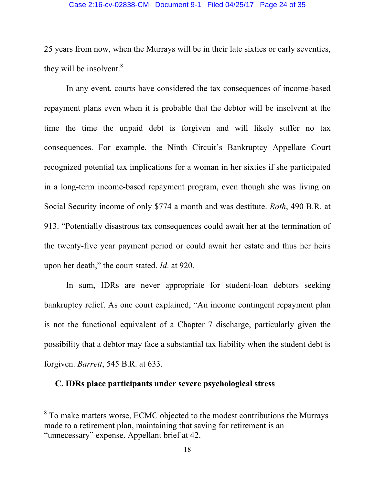#### Case 2:16-cv-02838-CM Document 9-1 Filed 04/25/17 Page 24 of 35

25 years from now, when the Murrays will be in their late sixties or early seventies, they will be insolvent. $8$ 

In any event, courts have considered the tax consequences of income-based repayment plans even when it is probable that the debtor will be insolvent at the time the time the unpaid debt is forgiven and will likely suffer no tax consequences. For example, the Ninth Circuit's Bankruptcy Appellate Court recognized potential tax implications for a woman in her sixties if she participated in a long-term income-based repayment program, even though she was living on Social Security income of only \$774 a month and was destitute. *Roth*, 490 B.R. at 913. "Potentially disastrous tax consequences could await her at the termination of the twenty-five year payment period or could await her estate and thus her heirs upon her death," the court stated. *Id*. at 920.

In sum, IDRs are never appropriate for student-loan debtors seeking bankruptcy relief. As one court explained, "An income contingent repayment plan is not the functional equivalent of a Chapter 7 discharge, particularly given the possibility that a debtor may face a substantial tax liability when the student debt is forgiven. *Barrett*, 545 B.R. at 633.

## **C. IDRs place participants under severe psychological stress**

<sup>&</sup>lt;sup>8</sup> To make matters worse, ECMC objected to the modest contributions the Murrays made to a retirement plan, maintaining that saving for retirement is an "unnecessary" expense. Appellant brief at 42.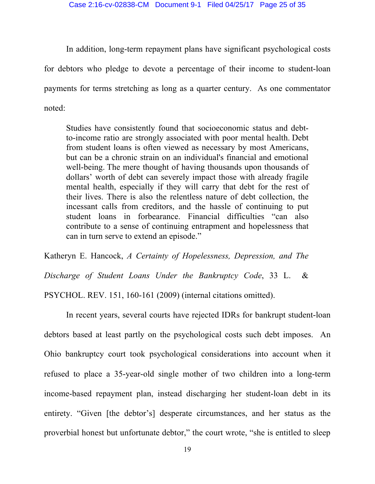In addition, long-term repayment plans have significant psychological costs for debtors who pledge to devote a percentage of their income to student-loan payments for terms stretching as long as a quarter century. As one commentator noted:

Studies have consistently found that socioeconomic status and debtto-income ratio are strongly associated with poor mental health. Debt from student loans is often viewed as necessary by most Americans, but can be a chronic strain on an individual's financial and emotional well-being. The mere thought of having thousands upon thousands of dollars' worth of debt can severely impact those with already fragile mental health, especially if they will carry that debt for the rest of their lives. There is also the relentless nature of debt collection, the incessant calls from creditors, and the hassle of continuing to put student loans in forbearance. Financial difficulties "can also contribute to a sense of continuing entrapment and hopelessness that can in turn serve to extend an episode."

Katheryn E. Hancock, *A Certainty of Hopelessness, Depression, and The* 

*Discharge of Student Loans Under the Bankruptcy Code*, 33 L. &

PSYCHOL. REV. 151, 160-161 (2009) (internal citations omitted).

In recent years, several courts have rejected IDRs for bankrupt student-loan debtors based at least partly on the psychological costs such debt imposes. An Ohio bankruptcy court took psychological considerations into account when it refused to place a 35-year-old single mother of two children into a long-term income-based repayment plan, instead discharging her student-loan debt in its entirety. "Given [the debtor's] desperate circumstances, and her status as the proverbial honest but unfortunate debtor," the court wrote, "she is entitled to sleep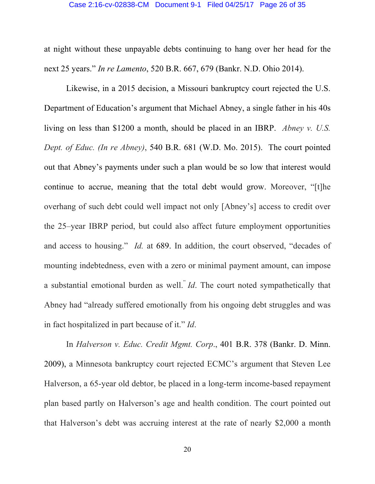#### Case 2:16-cv-02838-CM Document 9-1 Filed 04/25/17 Page 26 of 35

at night without these unpayable debts continuing to hang over her head for the next 25 years." *In re Lamento*, 520 B.R. 667, 679 (Bankr. N.D. Ohio 2014).

Likewise, in a 2015 decision, a Missouri bankruptcy court rejected the U.S. Department of Education's argument that Michael Abney, a single father in his 40s living on less than \$1200 a month, should be placed in an IBRP. *Abney v. U.S. Dept. of Educ. (In re Abney)*, 540 B.R. 681 (W.D. Mo. 2015). The court pointed out that Abney's payments under such a plan would be so low that interest would continue to accrue, meaning that the total debt would grow. Moreover, "[t]he overhang of such debt could well impact not only [Abney's] access to credit over the 25–year IBRP period, but could also affect future employment opportunities and access to housing." *Id.* at 689. In addition, the court observed, "decades of mounting indebtedness, even with a zero or minimal payment amount, can impose a substantial emotional burden as well." *Id*. The court noted sympathetically that Abney had "already suffered emotionally from his ongoing debt struggles and was in fact hospitalized in part because of it." *Id*.

In *Halverson v. Educ. Credit Mgmt. Corp*., 401 B.R. 378 (Bankr. D. Minn. 2009), a Minnesota bankruptcy court rejected ECMC's argument that Steven Lee Halverson, a 65-year old debtor, be placed in a long-term income-based repayment plan based partly on Halverson's age and health condition. The court pointed out that Halverson's debt was accruing interest at the rate of nearly \$2,000 a month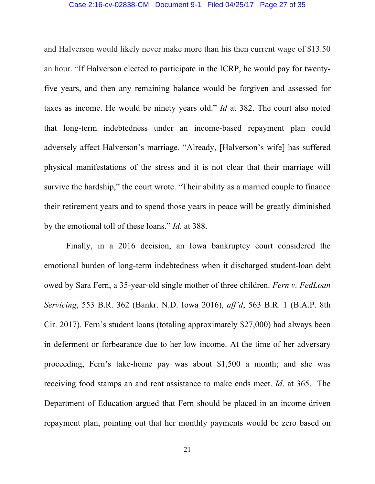#### Case 2:16-cv-02838-CM Document 9-1 Filed 04/25/17 Page 27 of 35

and Halverson would likely never make more than his then current wage of \$13.50 an hour. "If Halverson elected to participate in the ICRP, he would pay for twentyfive years, and then any remaining balance would be forgiven and assessed for taxes as income. He would be ninety years old." *Id* at 382. The court also noted that long-term indebtedness under an income-based repayment plan could adversely affect Halverson's marriage. "Already, [Halverson's wife] has suffered physical manifestations of the stress and it is not clear that their marriage will survive the hardship," the court wrote. "Their ability as a married couple to finance their retirement years and to spend those years in peace will be greatly diminished by the emotional toll of these loans." *Id*. at 388.

Finally, in a 2016 decision, an Iowa bankruptcy court considered the emotional burden of long-term indebtedness when it discharged student-loan debt owed by Sara Fern, a 35-year-old single mother of three children. *Fern v. FedLoan Servicing*, 553 B.R. 362 (Bankr. N.D. Iowa 2016), *aff'd*, 563 B.R. 1 (B.A.P. 8th Cir. 2017). Fern's student loans (totaling approximately \$27,000) had always been in deferment or forbearance due to her low income. At the time of her adversary proceeding, Fern's take-home pay was about \$1,500 a month; and she was receiving food stamps an and rent assistance to make ends meet. *Id*. at 365. The Department of Education argued that Fern should be placed in an income-driven repayment plan, pointing out that her monthly payments would be zero based on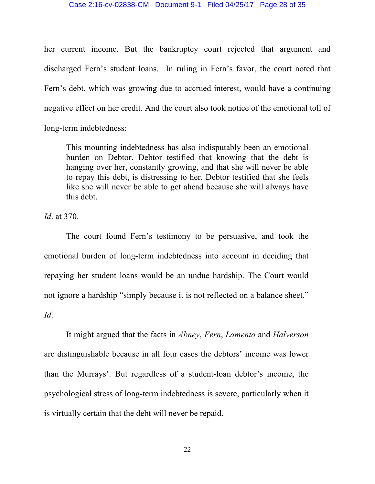#### Case 2:16-cv-02838-CM Document 9-1 Filed 04/25/17 Page 28 of 35

her current income. But the bankruptcy court rejected that argument and discharged Fern's student loans. In ruling in Fern's favor, the court noted that Fern's debt, which was growing due to accrued interest, would have a continuing negative effect on her credit. And the court also took notice of the emotional toll of long-term indebtedness:

This mounting indebtedness has also indisputably been an emotional burden on Debtor. Debtor testified that knowing that the debt is hanging over her, constantly growing, and that she will never be able to repay this debt, is distressing to her. Debtor testified that she feels like she will never be able to get ahead because she will always have this debt.

*Id*. at 370.

The court found Fern's testimony to be persuasive, and took the emotional burden of long-term indebtedness into account in deciding that repaying her student loans would be an undue hardship. The Court would not ignore a hardship "simply because it is not reflected on a balance sheet." *Id*.

It might argued that the facts in *Abney*, *Fern*, *Lamento* and *Halverson* are distinguishable because in all four cases the debtors' income was lower than the Murrays'. But regardless of a student-loan debtor's income, the psychological stress of long-term indebtedness is severe, particularly when it is virtually certain that the debt will never be repaid.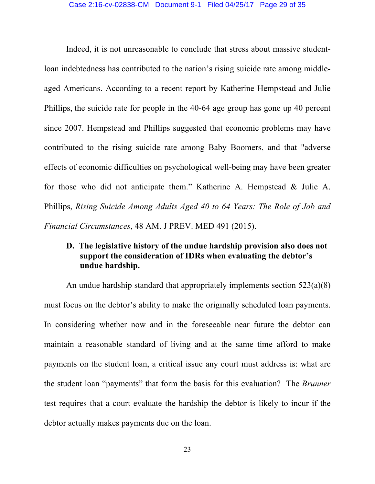Indeed, it is not unreasonable to conclude that stress about massive studentloan indebtedness has contributed to the nation's rising suicide rate among middleaged Americans. According to a recent report by Katherine Hempstead and Julie Phillips, the suicide rate for people in the 40-64 age group has gone up 40 percent since 2007. Hempstead and Phillips suggested that economic problems may have contributed to the rising suicide rate among Baby Boomers, and that "adverse effects of economic difficulties on psychological well-being may have been greater for those who did not anticipate them." Katherine A. Hempstead & Julie A. Phillips, *Rising Suicide Among Adults Aged 40 to 64 Years: The Role of Job and Financial Circumstances*, 48 AM. J PREV. MED 491 (2015).

## **D. The legislative history of the undue hardship provision also does not support the consideration of IDRs when evaluating the debtor's undue hardship.**

An undue hardship standard that appropriately implements section 523(a)(8) must focus on the debtor's ability to make the originally scheduled loan payments. In considering whether now and in the foreseeable near future the debtor can maintain a reasonable standard of living and at the same time afford to make payments on the student loan, a critical issue any court must address is: what are the student loan "payments" that form the basis for this evaluation? The *Brunner* test requires that a court evaluate the hardship the debtor is likely to incur if the debtor actually makes payments due on the loan.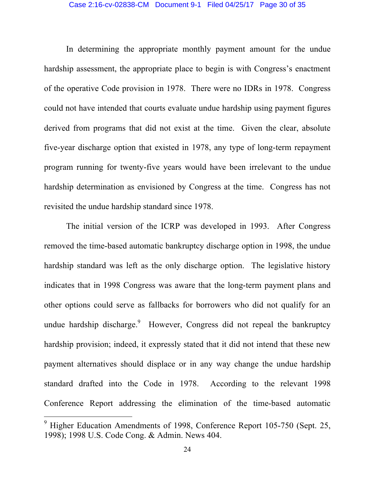#### Case 2:16-cv-02838-CM Document 9-1 Filed 04/25/17 Page 30 of 35

In determining the appropriate monthly payment amount for the undue hardship assessment, the appropriate place to begin is with Congress's enactment of the operative Code provision in 1978. There were no IDRs in 1978. Congress could not have intended that courts evaluate undue hardship using payment figures derived from programs that did not exist at the time. Given the clear, absolute five-year discharge option that existed in 1978, any type of long-term repayment program running for twenty-five years would have been irrelevant to the undue hardship determination as envisioned by Congress at the time. Congress has not revisited the undue hardship standard since 1978.

The initial version of the ICRP was developed in 1993. After Congress removed the time-based automatic bankruptcy discharge option in 1998, the undue hardship standard was left as the only discharge option. The legislative history indicates that in 1998 Congress was aware that the long-term payment plans and other options could serve as fallbacks for borrowers who did not qualify for an undue hardship discharge.<sup>9</sup> However, Congress did not repeal the bankruptcy hardship provision; indeed, it expressly stated that it did not intend that these new payment alternatives should displace or in any way change the undue hardship standard drafted into the Code in 1978. According to the relevant 1998 Conference Report addressing the elimination of the time-based automatic

 $9^9$  Higher Education Amendments of 1998, Conference Report 105-750 (Sept. 25, 1998); 1998 U.S. Code Cong. & Admin. News 404.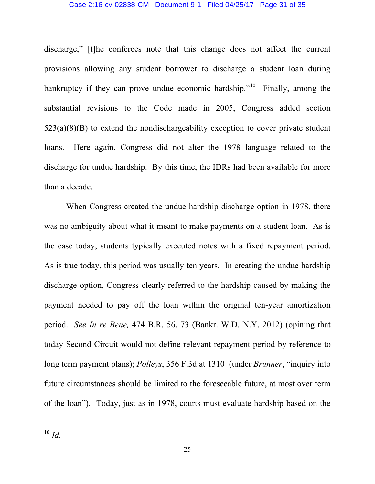#### Case 2:16-cv-02838-CM Document 9-1 Filed 04/25/17 Page 31 of 35

discharge," [t]he conferees note that this change does not affect the current provisions allowing any student borrower to discharge a student loan during bankruptcy if they can prove undue economic hardship."<sup>10</sup> Finally, among the substantial revisions to the Code made in 2005, Congress added section 523(a)(8)(B) to extend the nondischargeability exception to cover private student loans. Here again, Congress did not alter the 1978 language related to the discharge for undue hardship. By this time, the IDRs had been available for more than a decade.

When Congress created the undue hardship discharge option in 1978, there was no ambiguity about what it meant to make payments on a student loan. As is the case today, students typically executed notes with a fixed repayment period. As is true today, this period was usually ten years. In creating the undue hardship discharge option, Congress clearly referred to the hardship caused by making the payment needed to pay off the loan within the original ten-year amortization period. *See In re Bene,* 474 B.R. 56, 73 (Bankr. W.D. N.Y. 2012) (opining that today Second Circuit would not define relevant repayment period by reference to long term payment plans); *Polleys*, 356 F.3d at 1310 (under *Brunner*, "inquiry into future circumstances should be limited to the foreseeable future, at most over term of the loan"). Today, just as in 1978, courts must evaluate hardship based on the

 <sup>10</sup> *Id*.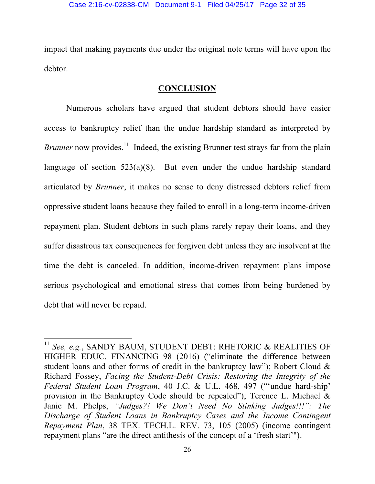impact that making payments due under the original note terms will have upon the debtor.

## **CONCLUSION**

Numerous scholars have argued that student debtors should have easier access to bankruptcy relief than the undue hardship standard as interpreted by *Brunner* now provides.<sup>11</sup> Indeed, the existing Brunner test strays far from the plain language of section 523(a)(8). But even under the undue hardship standard articulated by *Brunner*, it makes no sense to deny distressed debtors relief from oppressive student loans because they failed to enroll in a long-term income-driven repayment plan. Student debtors in such plans rarely repay their loans, and they suffer disastrous tax consequences for forgiven debt unless they are insolvent at the time the debt is canceled. In addition, income-driven repayment plans impose serious psychological and emotional stress that comes from being burdened by debt that will never be repaid.

<sup>&</sup>lt;sup>11</sup> See, e.g., SANDY BAUM, STUDENT DEBT: RHETORIC & REALITIES OF HIGHER EDUC. FINANCING 98 (2016) ("eliminate the difference between student loans and other forms of credit in the bankruptcy law"); Robert Cloud & Richard Fossey, *Facing the Student-Debt Crisis: Restoring the Integrity of the Federal Student Loan Program*, 40 J.C. & U.L. 468, 497 ("'undue hard-ship' provision in the Bankruptcy Code should be repealed"); Terence L. Michael & Janie M. Phelps, *"Judges?! We Don't Need No Stinking Judges!!!": The Discharge of Student Loans in Bankruptcy Cases and the Income Contingent Repayment Plan*, 38 TEX. TECH.L. REV. 73, 105 (2005) (income contingent repayment plans "are the direct antithesis of the concept of a 'fresh start'").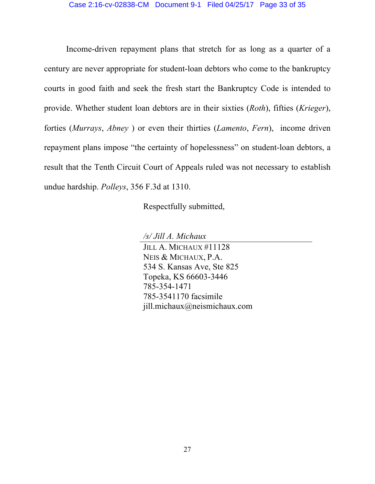Income-driven repayment plans that stretch for as long as a quarter of a century are never appropriate for student-loan debtors who come to the bankruptcy courts in good faith and seek the fresh start the Bankruptcy Code is intended to provide. Whether student loan debtors are in their sixties (*Roth*), fifties (*Krieger*), forties (*Murrays*, *Abney* ) or even their thirties (*Lamento*, *Fern*), income driven repayment plans impose "the certainty of hopelessness" on student-loan debtors, a result that the Tenth Circuit Court of Appeals ruled was not necessary to establish undue hardship. *Polleys*, 356 F.3d at 1310.

Respectfully submitted,

*/s/ Jill A. Michaux*

JILL A. MICHAUX #11128 NEIS & MICHAUX, P.A. 534 S. Kansas Ave, Ste 825 Topeka, KS 66603-3446 785-354-1471 785-3541170 facsimile jill.michaux@neismichaux.com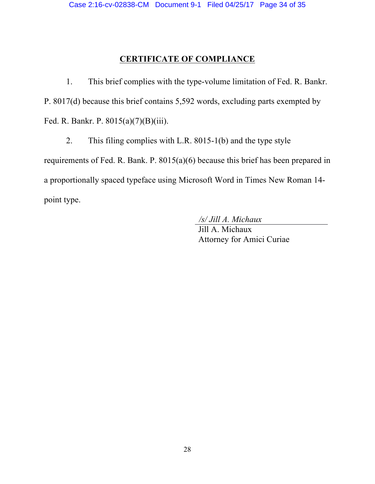## **CERTIFICATE OF COMPLIANCE**

1. This brief complies with the type-volume limitation of Fed. R. Bankr. P. 8017(d) because this brief contains 5,592 words, excluding parts exempted by Fed. R. Bankr. P. 8015(a)(7)(B)(iii).

2. This filing complies with L.R. 8015-1(b) and the type style requirements of Fed. R. Bank. P. 8015(a)(6) because this brief has been prepared in a proportionally spaced typeface using Microsoft Word in Times New Roman 14 point type.

*/s/ Jill A. Michaux*

Jill A. Michaux Attorney for Amici Curiae